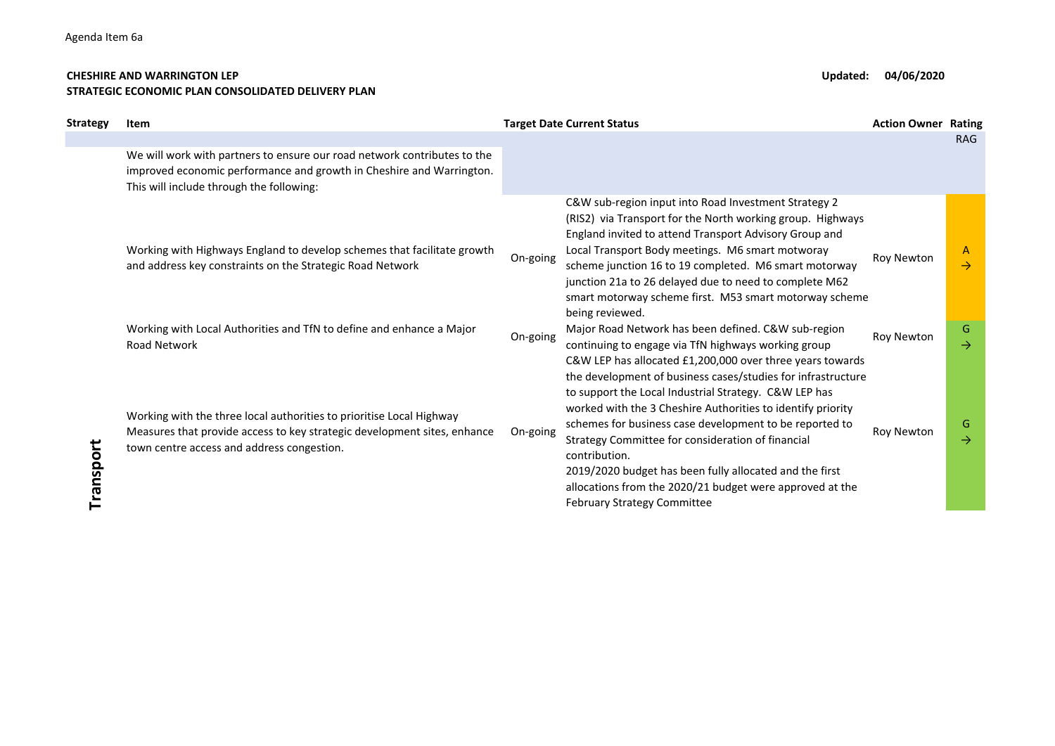## **CHESHIRE AND WARRINGTON LEP Updated: 04/06/2020 STRATEGIC ECONOMIC PLAN CONSOLIDATED DELIVERY PLAN**

| <b>Strategy</b> | Item                                                                                                                                                                                           |          | <b>Target Date Current Status</b>                                                                                                                                                                                                                                                                                                                                                                                                | <b>Action Owner Rating</b> |                    |
|-----------------|------------------------------------------------------------------------------------------------------------------------------------------------------------------------------------------------|----------|----------------------------------------------------------------------------------------------------------------------------------------------------------------------------------------------------------------------------------------------------------------------------------------------------------------------------------------------------------------------------------------------------------------------------------|----------------------------|--------------------|
|                 | We will work with partners to ensure our road network contributes to the<br>improved economic performance and growth in Cheshire and Warrington.<br>This will include through the following:   |          |                                                                                                                                                                                                                                                                                                                                                                                                                                  |                            | <b>RAG</b>         |
|                 | Working with Highways England to develop schemes that facilitate growth<br>and address key constraints on the Strategic Road Network                                                           | On-going | C&W sub-region input into Road Investment Strategy 2<br>(RIS2) via Transport for the North working group. Highways<br>England invited to attend Transport Advisory Group and<br>Local Transport Body meetings. M6 smart motworay<br>scheme junction 16 to 19 completed. M6 smart motorway<br>junction 21a to 26 delayed due to need to complete M62<br>smart motorway scheme first. M53 smart motorway scheme<br>being reviewed. | Roy Newton                 | A<br>$\rightarrow$ |
|                 | Working with Local Authorities and TfN to define and enhance a Major<br><b>Road Network</b>                                                                                                    | On-going | Major Road Network has been defined. C&W sub-region<br>continuing to engage via TfN highways working group<br>C&W LEP has allocated £1,200,000 over three years towards<br>the development of business cases/studies for infrastructure                                                                                                                                                                                          | Roy Newton                 | G<br>$\rightarrow$ |
| Transport       | Working with the three local authorities to prioritise Local Highway<br>Measures that provide access to key strategic development sites, enhance<br>town centre access and address congestion. | On-going | to support the Local Industrial Strategy. C&W LEP has<br>worked with the 3 Cheshire Authorities to identify priority<br>schemes for business case development to be reported to<br>Strategy Committee for consideration of financial<br>contribution.<br>2019/2020 budget has been fully allocated and the first<br>allocations from the 2020/21 budget were approved at the<br><b>February Strategy Committee</b>               | Roy Newton                 | G<br>$\rightarrow$ |
|                 |                                                                                                                                                                                                |          |                                                                                                                                                                                                                                                                                                                                                                                                                                  |                            |                    |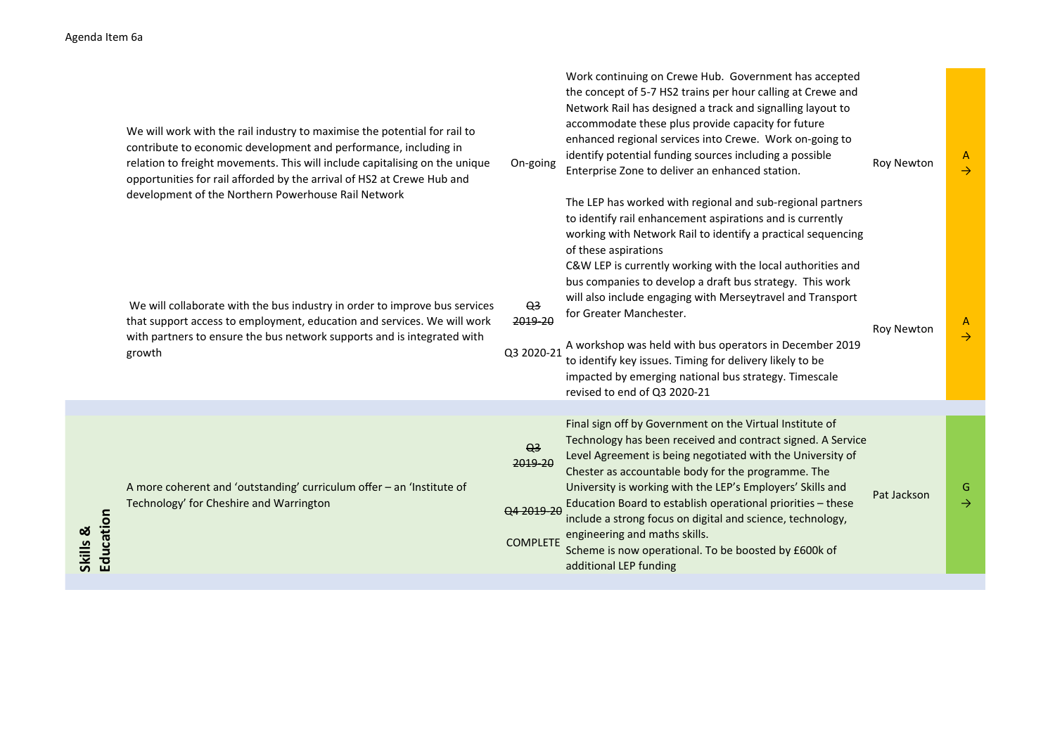|           | We will work with the rail industry to maximise the potential for rail to<br>contribute to economic development and performance, including in<br>relation to freight movements. This will include capitalising on the unique<br>opportunities for rail afforded by the arrival of HS2 at Crewe Hub and<br>development of the Northern Powerhouse Rail Network | On-going                                                   | Work continuing on Crewe Hub. Government has accepted<br>the concept of 5-7 HS2 trains per hour calling at Crewe and<br>Network Rail has designed a track and signalling layout to<br>accommodate these plus provide capacity for future<br>enhanced regional services into Crewe. Work on-going to<br>identify potential funding sources including a possible<br>Enterprise Zone to deliver an enhanced station.<br>The LEP has worked with regional and sub-regional partners<br>to identify rail enhancement aspirations and is currently<br>working with Network Rail to identify a practical sequencing | <b>Roy Newton</b> | $\mathsf{A}$<br>$\rightarrow$ |
|-----------|---------------------------------------------------------------------------------------------------------------------------------------------------------------------------------------------------------------------------------------------------------------------------------------------------------------------------------------------------------------|------------------------------------------------------------|--------------------------------------------------------------------------------------------------------------------------------------------------------------------------------------------------------------------------------------------------------------------------------------------------------------------------------------------------------------------------------------------------------------------------------------------------------------------------------------------------------------------------------------------------------------------------------------------------------------|-------------------|-------------------------------|
|           | We will collaborate with the bus industry in order to improve bus services<br>that support access to employment, education and services. We will work<br>with partners to ensure the bus network supports and is integrated with<br>growth                                                                                                                    | $\Theta$ <sup>3</sup><br>2019-20<br>Q3 2020-21             | of these aspirations<br>C&W LEP is currently working with the local authorities and<br>bus companies to develop a draft bus strategy. This work<br>will also include engaging with Merseytravel and Transport<br>for Greater Manchester.<br>A workshop was held with bus operators in December 2019<br>to identify key issues. Timing for delivery likely to be<br>impacted by emerging national bus strategy. Timescale<br>revised to end of Q3 2020-21                                                                                                                                                     | <b>Roy Newton</b> | A<br>$\rightarrow$            |
| Education | A more coherent and 'outstanding' curriculum offer - an 'Institute of<br>Technology' for Cheshire and Warrington                                                                                                                                                                                                                                              | Q <sub>3</sub><br>2019-20<br>Q4 2019-20<br><b>COMPLETE</b> | Final sign off by Government on the Virtual Institute of<br>Technology has been received and contract signed. A Service<br>Level Agreement is being negotiated with the University of<br>Chester as accountable body for the programme. The<br>University is working with the LEP's Employers' Skills and<br>Education Board to establish operational priorities - these<br>include a strong focus on digital and science, technology,<br>engineering and maths skills.<br>Scheme is now operational. To be boosted by £600k of<br>additional LEP funding                                                    | Pat Jackson       | G<br>$\rightarrow$            |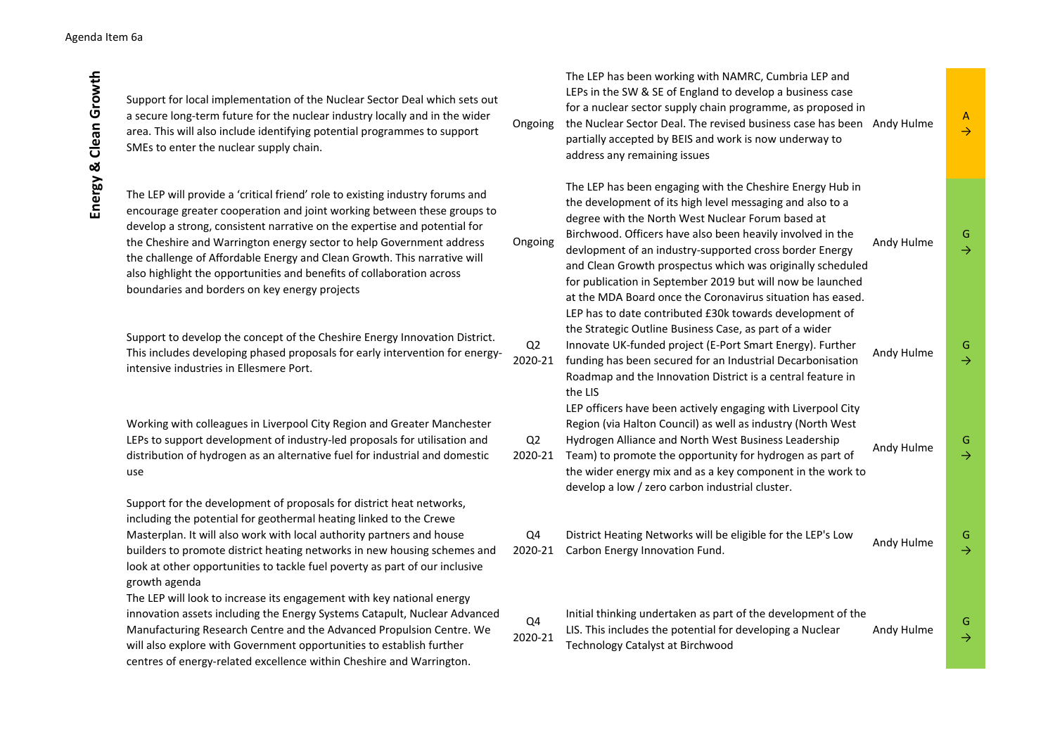| Support for local implementation of the Nuclear Sector Deal which sets out<br>a secure long-term future for the nuclear industry locally and in the wider<br>area. This will also include identifying potential programmes to support<br>SMEs to enter the nuclear supply chain.                                                                                                                                                                                                                                    | Ongoing       | The LEP has been working with NAMRC, Cumbria LEP and<br>LEPs in the SW & SE of England to develop a business case<br>for a nuclear sector supply chain programme, as proposed in<br>the Nuclear Sector Deal. The revised business case has been Andy Hulme<br>partially accepted by BEIS and work is now underway to<br>address any remaining issues                                                                                                                                           |            | A<br>$\rightarrow$ |
|---------------------------------------------------------------------------------------------------------------------------------------------------------------------------------------------------------------------------------------------------------------------------------------------------------------------------------------------------------------------------------------------------------------------------------------------------------------------------------------------------------------------|---------------|------------------------------------------------------------------------------------------------------------------------------------------------------------------------------------------------------------------------------------------------------------------------------------------------------------------------------------------------------------------------------------------------------------------------------------------------------------------------------------------------|------------|--------------------|
| The LEP will provide a 'critical friend' role to existing industry forums and<br>encourage greater cooperation and joint working between these groups to<br>develop a strong, consistent narrative on the expertise and potential for<br>the Cheshire and Warrington energy sector to help Government address<br>the challenge of Affordable Energy and Clean Growth. This narrative will<br>also highlight the opportunities and benefits of collaboration across<br>boundaries and borders on key energy projects | Ongoing       | The LEP has been engaging with the Cheshire Energy Hub in<br>the development of its high level messaging and also to a<br>degree with the North West Nuclear Forum based at<br>Birchwood. Officers have also been heavily involved in the<br>devlopment of an industry-supported cross border Energy<br>and Clean Growth prospectus which was originally scheduled<br>for publication in September 2019 but will now be launched<br>at the MDA Board once the Coronavirus situation has eased. | Andy Hulme | G<br>$\rightarrow$ |
| Support to develop the concept of the Cheshire Energy Innovation District.<br>This includes developing phased proposals for early intervention for energy-<br>intensive industries in Ellesmere Port.                                                                                                                                                                                                                                                                                                               | Q2<br>2020-21 | LEP has to date contributed £30k towards development of<br>the Strategic Outline Business Case, as part of a wider<br>Innovate UK-funded project (E-Port Smart Energy). Further<br>funding has been secured for an Industrial Decarbonisation<br>Roadmap and the Innovation District is a central feature in<br>the LIS                                                                                                                                                                        | Andy Hulme | G<br>$\rightarrow$ |
| Working with colleagues in Liverpool City Region and Greater Manchester<br>LEPs to support development of industry-led proposals for utilisation and<br>distribution of hydrogen as an alternative fuel for industrial and domestic<br>use                                                                                                                                                                                                                                                                          | Q2<br>2020-21 | LEP officers have been actively engaging with Liverpool City<br>Region (via Halton Council) as well as industry (North West<br>Hydrogen Alliance and North West Business Leadership<br>Team) to promote the opportunity for hydrogen as part of<br>the wider energy mix and as a key component in the work to<br>develop a low / zero carbon industrial cluster.                                                                                                                               | Andy Hulme | G<br>$\rightarrow$ |
| Support for the development of proposals for district heat networks,<br>including the potential for geothermal heating linked to the Crewe<br>Masterplan. It will also work with local authority partners and house<br>builders to promote district heating networks in new housing schemes and<br>look at other opportunities to tackle fuel poverty as part of our inclusive<br>growth agenda                                                                                                                     | Q4<br>2020-21 | District Heating Networks will be eligible for the LEP's Low<br>Carbon Energy Innovation Fund.                                                                                                                                                                                                                                                                                                                                                                                                 | Andy Hulme | G<br>$\rightarrow$ |
| The LEP will look to increase its engagement with key national energy<br>innovation assets including the Energy Systems Catapult, Nuclear Advanced<br>Manufacturing Research Centre and the Advanced Propulsion Centre. We<br>will also explore with Government opportunities to establish further<br>centres of energy-related excellence within Cheshire and Warrington.                                                                                                                                          | Q4<br>2020-21 | Initial thinking undertaken as part of the development of the<br>LIS. This includes the potential for developing a Nuclear<br>Technology Catalyst at Birchwood                                                                                                                                                                                                                                                                                                                                 | Andy Hulme | G<br>$\rightarrow$ |

Energy & Clean Growth **Energy & Clean Growth**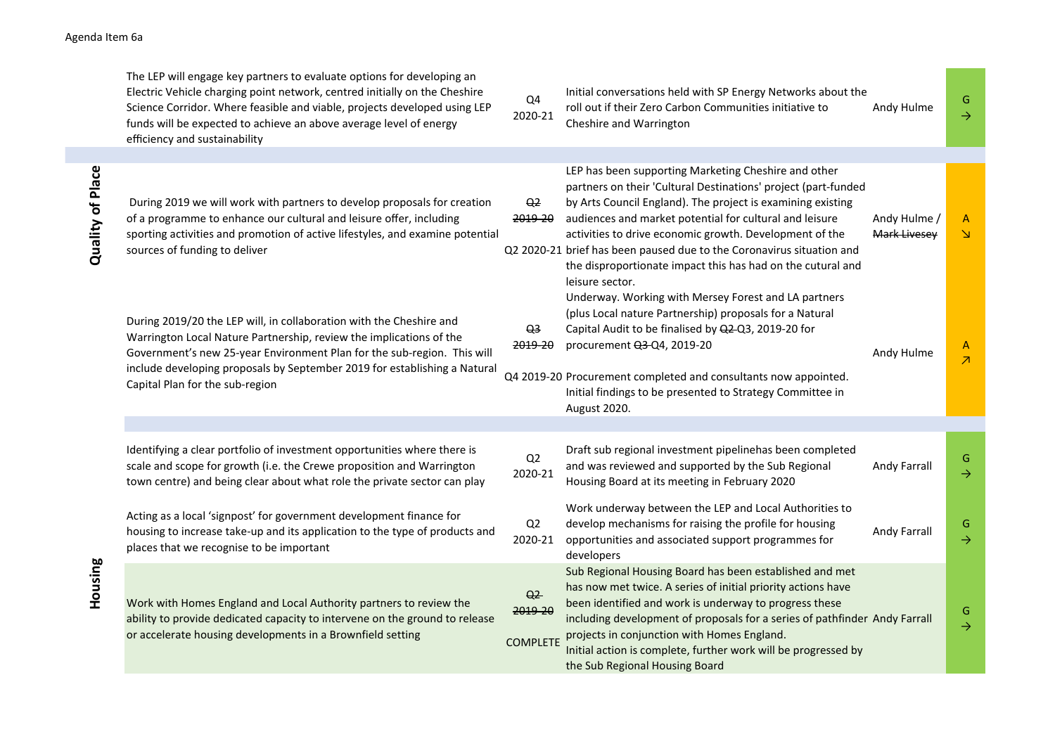## Agenda Item 6a

|  | The LEP will engage key partners to evaluate options for developing an<br>Electric Vehicle charging point network, centred initially on the Cheshire<br>Science Corridor. Where feasible and viable, projects developed using LEP<br>funds will be expected to achieve an above average level of energy<br>efficiency and sustainability | Q4<br>2020-21                                | Initial conversations held with SP Energy Networks about the<br>roll out if their Zero Carbon Communities initiative to<br>Cheshire and Warrington                                                                                                                                                                                                                                                                                                                     | Andy Hulme                   | G<br>$\rightarrow$                       |
|--|------------------------------------------------------------------------------------------------------------------------------------------------------------------------------------------------------------------------------------------------------------------------------------------------------------------------------------------|----------------------------------------------|------------------------------------------------------------------------------------------------------------------------------------------------------------------------------------------------------------------------------------------------------------------------------------------------------------------------------------------------------------------------------------------------------------------------------------------------------------------------|------------------------------|------------------------------------------|
|  |                                                                                                                                                                                                                                                                                                                                          |                                              |                                                                                                                                                                                                                                                                                                                                                                                                                                                                        |                              |                                          |
|  | During 2019 we will work with partners to develop proposals for creation<br>of a programme to enhance our cultural and leisure offer, including<br>sporting activities and promotion of active lifestyles, and examine potential<br>sources of funding to deliver                                                                        | Q <sub>2</sub><br><del>2019-20</del>         | LEP has been supporting Marketing Cheshire and other<br>partners on their 'Cultural Destinations' project (part-funded<br>by Arts Council England). The project is examining existing<br>audiences and market potential for cultural and leisure<br>activities to drive economic growth. Development of the<br>Q2 2020-21 brief has been paused due to the Coronavirus situation and<br>the disproportionate impact this has had on the cutural and<br>leisure sector. | Andy Hulme /<br>Mark Livesey | $\mathsf{A}$<br>$\Delta$                 |
|  | During 2019/20 the LEP will, in collaboration with the Cheshire and<br>Warrington Local Nature Partnership, review the implications of the<br>Government's new 25-year Environment Plan for the sub-region. This will<br>include developing proposals by September 2019 for establishing a Natural<br>Capital Plan for the sub-region    | Q <sub>3</sub><br>2019-20                    | Underway. Working with Mersey Forest and LA partners<br>(plus Local nature Partnership) proposals for a Natural<br>Capital Audit to be finalised by Q2-Q3, 2019-20 for<br>procurement Q3-Q4, 2019-20<br>Q4 2019-20 Procurement completed and consultants now appointed.<br>Initial findings to be presented to Strategy Committee in<br>August 2020.                                                                                                                   | Andy Hulme                   | $\mathsf{A}$<br>$\overline{\mathcal{A}}$ |
|  |                                                                                                                                                                                                                                                                                                                                          |                                              |                                                                                                                                                                                                                                                                                                                                                                                                                                                                        |                              |                                          |
|  | Identifying a clear portfolio of investment opportunities where there is<br>scale and scope for growth (i.e. the Crewe proposition and Warrington<br>town centre) and being clear about what role the private sector can play                                                                                                            | Q2<br>2020-21                                | Draft sub regional investment pipelinehas been completed<br>and was reviewed and supported by the Sub Regional<br>Housing Board at its meeting in February 2020                                                                                                                                                                                                                                                                                                        | Andy Farrall                 | G<br>$\rightarrow$                       |
|  | Acting as a local 'signpost' for government development finance for<br>housing to increase take-up and its application to the type of products and<br>places that we recognise to be important                                                                                                                                           | Q2<br>2020-21                                | Work underway between the LEP and Local Authorities to<br>develop mechanisms for raising the profile for housing<br>opportunities and associated support programmes for<br>developers                                                                                                                                                                                                                                                                                  | Andy Farrall                 | G<br>$\rightarrow$                       |
|  | Work with Homes England and Local Authority partners to review the<br>ability to provide dedicated capacity to intervene on the ground to release<br>or accelerate housing developments in a Brownfield setting                                                                                                                          | Q <sub>2</sub><br>2019-20<br><b>COMPLETE</b> | Sub Regional Housing Board has been established and met<br>has now met twice. A series of initial priority actions have<br>been identified and work is underway to progress these<br>including development of proposals for a series of pathfinder Andy Farrall<br>projects in conjunction with Homes England.<br>Initial action is complete, further work will be progressed by<br>the Sub Regional Housing Board                                                     |                              | G<br>$\rightarrow$                       |

Quality of Place **Quality of Place**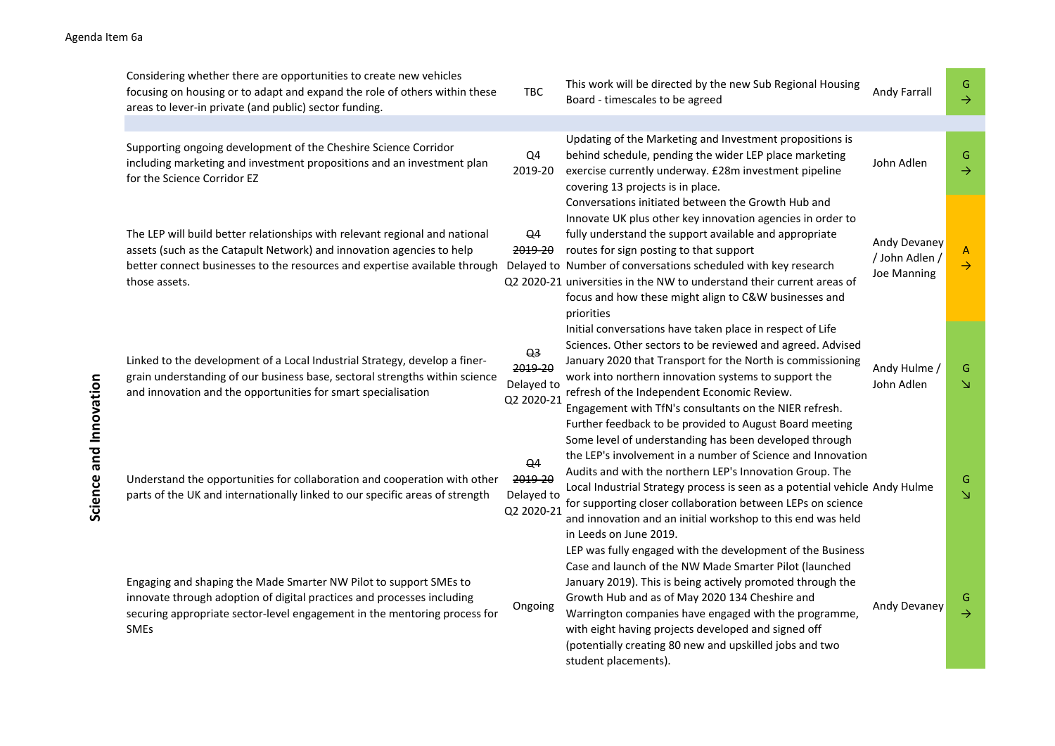## Agenda Item 6a

| Considering whether there are opportunities to create new vehicles<br>focusing on housing or to adapt and expand the role of others within these<br>areas to lever-in private (and public) sector funding.                                          | <b>TBC</b>                                                   | This work will be directed by the new Sub Regional Housing<br>Board - timescales to be agreed                                                                                                                                                                                                                                                                                                                                            | Andy Farrall                                         | G<br>$\rightarrow$ |
|-----------------------------------------------------------------------------------------------------------------------------------------------------------------------------------------------------------------------------------------------------|--------------------------------------------------------------|------------------------------------------------------------------------------------------------------------------------------------------------------------------------------------------------------------------------------------------------------------------------------------------------------------------------------------------------------------------------------------------------------------------------------------------|------------------------------------------------------|--------------------|
| Supporting ongoing development of the Cheshire Science Corridor<br>including marketing and investment propositions and an investment plan<br>for the Science Corridor EZ                                                                            | Q4<br>2019-20                                                | Updating of the Marketing and Investment propositions is<br>behind schedule, pending the wider LEP place marketing<br>exercise currently underway. £28m investment pipeline<br>covering 13 projects is in place.                                                                                                                                                                                                                         | John Adlen                                           | G<br>$\rightarrow$ |
| The LEP will build better relationships with relevant regional and national<br>assets (such as the Catapult Network) and innovation agencies to help<br>better connect businesses to the resources and expertise available through<br>those assets. | Q <sub>4</sub><br><del>2019-20</del>                         | Conversations initiated between the Growth Hub and<br>Innovate UK plus other key innovation agencies in order to<br>fully understand the support available and appropriate<br>routes for sign posting to that support<br>Delayed to Number of conversations scheduled with key research<br>Q2 2020-21 universities in the NW to understand their current areas of<br>focus and how these might align to C&W businesses and<br>priorities | Andy Devaney<br>/ John Adlen /<br><b>Joe Manning</b> | A<br>$\rightarrow$ |
| Linked to the development of a Local Industrial Strategy, develop a finer-<br>grain understanding of our business base, sectoral strengths within science<br>and innovation and the opportunities for smart specialisation                          | Q <sub>3</sub><br>2019-20<br>Delayed to<br>Q2 2020-21        | Initial conversations have taken place in respect of Life<br>Sciences. Other sectors to be reviewed and agreed. Advised<br>January 2020 that Transport for the North is commissioning<br>work into northern innovation systems to support the<br>refresh of the Independent Economic Review.<br>Engagement with TfN's consultants on the NIER refresh.<br>Further feedback to be provided to August Board meeting                        | Andy Hulme /<br>John Adlen                           | G<br>N             |
| Understand the opportunities for collaboration and cooperation with other<br>parts of the UK and internationally linked to our specific areas of strength                                                                                           | $\Theta$ <sup>4</sup><br>2019-20<br>Delayed to<br>Q2 2020-21 | Some level of understanding has been developed through<br>the LEP's involvement in a number of Science and Innovation<br>Audits and with the northern LEP's Innovation Group. The<br>Local Industrial Strategy process is seen as a potential vehicle Andy Hulme<br>for supporting closer collaboration between LEPs on science<br>and innovation and an initial workshop to this end was held<br>in Leeds on June 2019.                 |                                                      | G<br>$\Delta$      |
| Engaging and shaping the Made Smarter NW Pilot to support SMEs to<br>innovate through adoption of digital practices and processes including<br>securing appropriate sector-level engagement in the mentoring process for<br><b>SMEs</b>             | Ongoing                                                      | LEP was fully engaged with the development of the Business<br>Case and launch of the NW Made Smarter Pilot (launched<br>January 2019). This is being actively promoted through the<br>Growth Hub and as of May 2020 134 Cheshire and<br>Warrington companies have engaged with the programme,<br>with eight having projects developed and signed off<br>(potentially creating 80 new and upskilled jobs and two<br>student placements).  | Andy Devaney                                         | G<br>$\rightarrow$ |